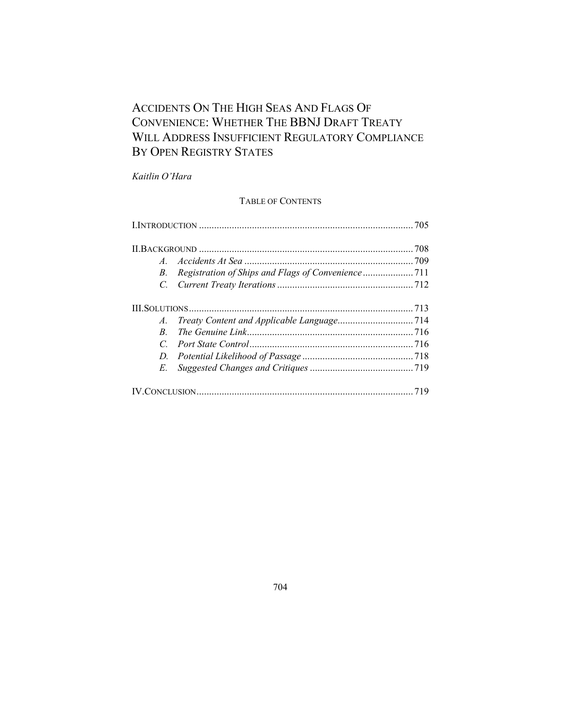# ACCIDENTS ON THE HIGH SEAS AND FLAGS OF CONVENIENCE: WHETHER THE BBNJ DRAFT TREATY WILL ADDRESS INSUFFICIENT REGULATORY COMPLIANCE BY OPEN REGISTRY STATES

*Kaitlin O¶Hara*

# TABLE OF CONTENTS

| $A_{-}$       |  |  |
|---------------|--|--|
| B.            |  |  |
|               |  |  |
|               |  |  |
|               |  |  |
| R.            |  |  |
| $\mathcal{C}$ |  |  |
|               |  |  |
| $E_{-}$       |  |  |
|               |  |  |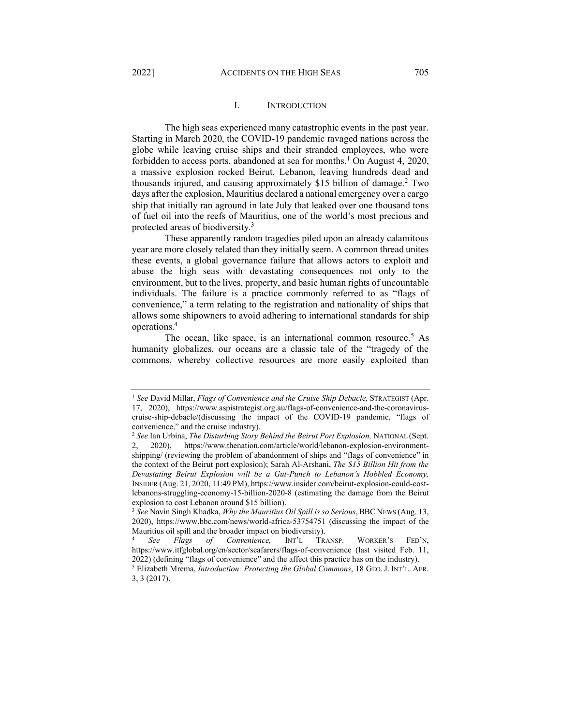# <span id="page-1-2"></span><span id="page-1-1"></span>I. INTRODUCTION

<span id="page-1-0"></span>The high seas experienced many catastrophic events in the past year. Starting in March 2020, the COVID-19 pandemic ravaged nations across the globe while leaving cruise ships and their stranded employees, who were forbidden to access ports, abandoned at sea for months.<sup>1</sup> On August 4, 2020, a massive explosion rocked Beirut, Lebanon, leaving hundreds dead and thousands injured, and causing approximately \$15 billion of damage.<sup>2</sup> Two days after the explosion, Mauritius declared a national emergency over a cargo ship that initially ran aground in late July that leaked over one thousand tons of fuel oil into the reefs of Mauritius, one of the world's most precious and protected areas of biodiversity.3

These apparently random tragedies piled upon an already calamitous year are more closely related than they initially seem. A common thread unites these events, a global governance failure that allows actors to exploit and abuse the high seas with devastating consequences not only to the environment, but to the lives, property, and basic human rights of uncountable individuals. The failure is a practice commonly referred to as "flags of convenience," a term relating to the registration and nationality of ships that allows some shipowners to avoid adhering to international standards for ship operations.4

<span id="page-1-3"></span>The ocean, like space, is an international common resource.<sup>5</sup> As humanity globalizes, our oceans are a classic tale of the "tragedy of the commons, whereby collective resources are more easily exploited than

<sup>1</sup> *See* David Millar, *Flags of Convenience and the Cruise Ship Debacle,* STRATEGIST (Apr. 17, 2020), https://www.aspistrategist.org.au/flags-of-convenience-and-the-coronaviruscruise-ship-debacle/(discussing the impact of the COVID-19 pandemic, "flags of convenience," and the cruise industry).

<sup>2</sup> *See* Ian Urbina, *The Disturbing Story Behind the Beirut Port Explosion,* NATIONAL (Sept. 2, 2020), https://www.thenation.com/article/world/lebanon-explosion-environmentshipping/ (reviewing the problem of abandonment of ships and "flags of convenience" in the context of the Beirut port explosion); Sarah Al-Arshani, *The \$15 Billion Hit from the Devastating Beirut Explosion will be a Gut-Punch to Lebanon's Hobbled Economy,* INSIDER (Aug. 21, 2020, 11:49 PM), https://www.insider.com/beirut-explosion-could-costlebanons-struggling-economy-15-billion-2020-8 (estimating the damage from the Beirut explosion to cost Lebanon around \$15 billion).

<sup>3</sup> *See* Navin Singh Khadka, *Why the Mauritius Oil Spill is so Serious*, BBC NEWS (Aug. 13, 2020), https://www.bbc.com/news/world-africa-53754751 (discussing the impact of the Mauritius oil spill and the broader impact on biodiversity).

See Flags of Convenience, INT'L TRANSP. WORKER'S FED'N, https://www.itfglobal.org/en/sector/seafarers/flags-of-convenience (last visited Feb. 11, 2022) (defining "flags of convenience" and the affect this practice has on the industry).

<sup>&</sup>lt;sup>5</sup> Elizabeth Mrema, *Introduction: Protecting the Global Commons*, 18 GEO. J. INT'L. AFR. 3, 3 (2017).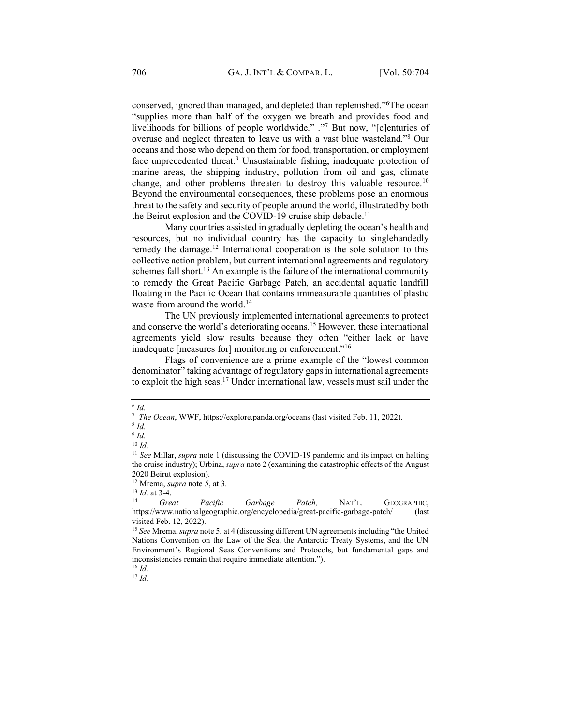conserved, ignored than managed, and depleted than replenished."<sup>6</sup>The ocean "supplies more than half of the oxygen we breath and provides food and livelihoods for billions of people worldwide." ."7 But now, "[c]enturies of overuse and neglect threaten to leave us with a vast blue wasteland.<sup>78</sup> Our oceans and those who depend on them for food, transportation, or employment face unprecedented threat.<sup>9</sup> Unsustainable fishing, inadequate protection of marine areas, the shipping industry, pollution from oil and gas, climate change, and other problems threaten to destroy this valuable resource.10 Beyond the environmental consequences, these problems pose an enormous threat to the safety and security of people around the world, illustrated by both the Beirut explosion and the COVID-19 cruise ship debacle.<sup>11</sup>

Many countries assisted in gradually depleting the ocean's health and resources, but no individual country has the capacity to singlehandedly remedy the damage.<sup>12</sup> International cooperation is the sole solution to this collective action problem, but current international agreements and regulatory schemes fall short.<sup>13</sup> An example is the failure of the international community to remedy the Great Pacific Garbage Patch, an accidental aquatic landfill floating in the Pacific Ocean that contains immeasurable quantities of plastic waste from around the world.<sup>14</sup>

The UN previously implemented international agreements to protect and conserve the world's deteriorating oceans.<sup>15</sup> However, these international agreements yield slow results because they often "either lack or have inadequate [measures for] monitoring or enforcement."<sup>16</sup>

Flags of convenience are a prime example of the "lowest common denominator" taking advantage of regulatory gaps in international agreements to exploit the high seas.17 Under international law, vessels must sail under the

<sup>16</sup> *Id.* <sup>17</sup> *Id.*

<sup>6</sup> *Id.*

<sup>7</sup>*The Ocean*, WWF, https://explore.panda.org/oceans (last visited Feb. 11, 2022). 8 *Id.*

 $9$   $Id$ .

 $10 \, Id.$ 

<sup>11</sup> *See* Millar, *supra* not[e 1](#page-1-1) (discussing the COVID-19 pandemic and its impact on halting the cruise industry); Urbina, *supra* not[e 2](#page-1-2) (examining the catastrophic effects of the August 2020 Beirut explosion).

<sup>12</sup> Mrema, *supra* note *[5](#page-1-3)*, at 3.

 $\frac{13}{14}$  *Id.* at 3-4.

Great Pacific Garbage Patch, NAT'L. GEOGRAPHIC, https://www.nationalgeographic.org/encyclopedia/great-pacific-garbage-patch/ (last visited Feb. 12, 2022).

<sup>&</sup>lt;sup>15</sup> See Mrema, *supra* not[e 5](#page-1-3), at 4 (discussing different UN agreements including "the United" Nations Convention on the Law of the Sea, the Antarctic Treaty Systems, and the UN Environment's Regional Seas Conventions and Protocols, but fundamental gaps and inconsistencies remain that require immediate attention.´).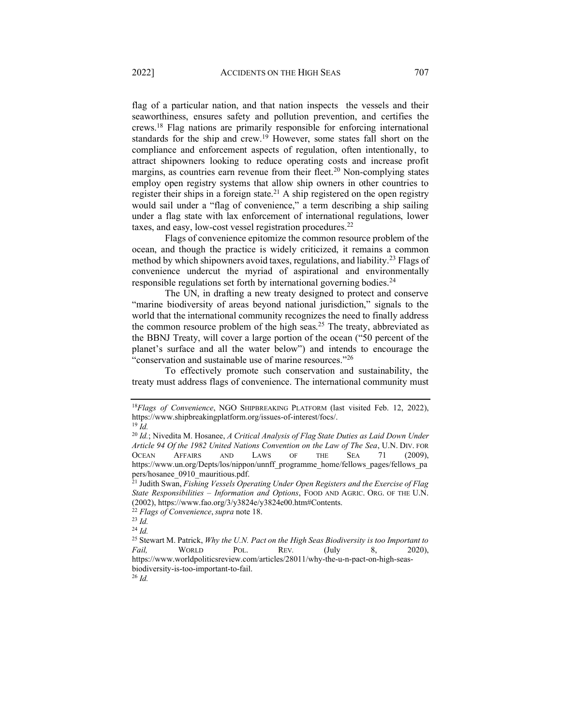flag of a particular nation, and that nation inspects the vessels and their seaworthiness, ensures safety and pollution prevention, and certifies the crews.18 Flag nations are primarily responsible for enforcing international standards for the ship and crew.19 However, some states fall short on the compliance and enforcement aspects of regulation, often intentionally, to attract shipowners looking to reduce operating costs and increase profit margins, as countries earn revenue from their fleet.<sup>20</sup> Non-complying states employ open registry systems that allow ship owners in other countries to register their ships in a foreign state.<sup>21</sup> A ship registered on the open registry would sail under a "flag of convenience," a term describing a ship sailing under a flag state with lax enforcement of international regulations, lower taxes, and easy, low-cost vessel registration procedures.22

Flags of convenience epitomize the common resource problem of the ocean, and though the practice is widely criticized, it remains a common method by which shipowners avoid taxes, regulations, and liability.23 Flags of convenience undercut the myriad of aspirational and environmentally responsible regulations set forth by international governing bodies.<sup>24</sup>

The UN, in drafting a new treaty designed to protect and conserve "marine biodiversity of areas beyond national jurisdiction," signals to the world that the international community recognizes the need to finally address the common resource problem of the high seas.<sup>25</sup> The treaty, abbreviated as the BBNJ Treaty, will cover a large portion of the ocean ("50 percent of the planet's surface and all the water below") and intends to encourage the "conservation and sustainable use of marine resources."<sup>26</sup>

To effectively promote such conservation and sustainability, the treaty must address flags of convenience. The international community must

<sup>26</sup> *Id.*

<sup>18</sup>*Flags of Convenience*, NGO SHIPBREAKING PLATFORM (last visited Feb. 12, 2022), https://www.shipbreakingplatform.org/issues-of-interest/focs/.

<sup>19</sup> *Id.*

<sup>20</sup> *Id.*; Nivedita M. Hosanee, *A Critical Analysis of Flag State Duties as Laid Down Under Article 94 Of the 1982 United Nations Convention on the Law of The Sea*, U.N. DIV. FOR OCEAN AFFAIRS AND LAWS OF THE SEA 71 (2009), https://www.un.org/Depts/los/nippon/unnff\_programme\_home/fellows\_pages/fellows\_pa pers/hosanee\_0910\_mauritious.pdf.

<sup>21</sup> Judith Swan, *Fishing Vessels Operating Under Open Registers and the Exercise of Flag State Responsibilities ± Information and Options*, FOOD AND AGRIC. ORG. OF THE U.N. (2002), https://www.fao.org/3/y3824e/y3824e00.htm#Contents.

<sup>22</sup> *Flags of Convenience*,*supra* note 18. 23 *Id.* 

<sup>24</sup> *Id.*

<sup>25</sup> Stewart M. Patrick, *Why the U.N. Pact on the High Seas Biodiversity is too Important to Fail,* WORLD POL. REV*.* (July 8, 2020), https://www.worldpoliticsreview.com/articles/28011/why-the-u-n-pact-on-high-seasbiodiversity-is-too-important-to-fail.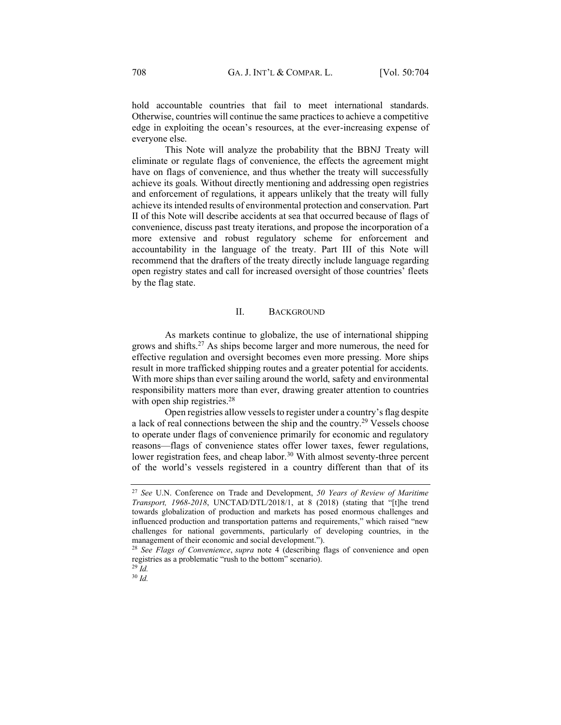hold accountable countries that fail to meet international standards. Otherwise, countries will continue the same practices to achieve a competitive edge in exploiting the ocean's resources, at the ever-increasing expense of everyone else.

This Note will analyze the probability that the BBNJ Treaty will eliminate or regulate flags of convenience, the effects the agreement might have on flags of convenience, and thus whether the treaty will successfully achieve its goals. Without directly mentioning and addressing open registries and enforcement of regulations, it appears unlikely that the treaty will fully achieve its intended results of environmental protection and conservation. Part II of this Note will describe accidents at sea that occurred because of flags of convenience, discuss past treaty iterations, and propose the incorporation of a more extensive and robust regulatory scheme for enforcement and accountability in the language of the treaty. Part III of this Note will recommend that the drafters of the treaty directly include language regarding open registry states and call for increased oversight of those countries' fleets by the flag state.

# II. BACKGROUND

<span id="page-4-0"></span>As markets continue to globalize, the use of international shipping grows and shifts.27 As ships become larger and more numerous, the need for effective regulation and oversight becomes even more pressing. More ships result in more trafficked shipping routes and a greater potential for accidents. With more ships than ever sailing around the world, safety and environmental responsibility matters more than ever, drawing greater attention to countries with open ship registries.<sup>28</sup>

Open registries allow vessels to register under a country's flag despite a lack of real connections between the ship and the country.29 Vessels choose to operate under flags of convenience primarily for economic and regulatory reasons-flags of convenience states offer lower taxes, fewer regulations, lower registration fees, and cheap labor.<sup>30</sup> With almost seventy-three percent of the world's vessels registered in a country different than that of its

<sup>30</sup> *Id.* 

<sup>27</sup> *See* U.N. Conference on Trade and Development, *50 Years of Review of Maritime Transport, 1968-2018*, UNCTAD/DTL/2018/1, at 8 (2018) (stating that "[t]he trend towards globalization of production and markets has posed enormous challenges and influenced production and transportation patterns and requirements," which raised "new challenges for national governments, particularly of developing countries, in the management of their economic and social development.<sup>"</sup>).

<sup>28</sup> *See Flags of Convenience*, *supra* note 4 (describing flags of convenience and open registries as a problematic "rush to the bottom" scenario).

<sup>29</sup> *Id.*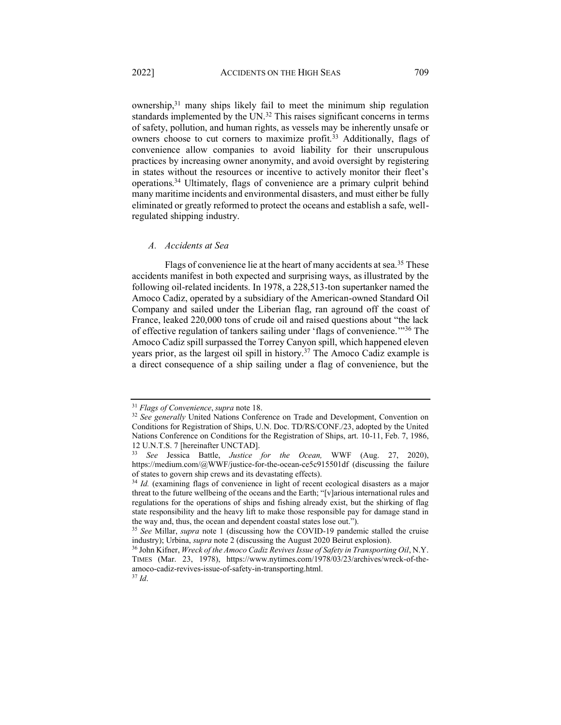ownership,31 many ships likely fail to meet the minimum ship regulation standards implemented by the UN.<sup>32</sup> This raises significant concerns in terms of safety, pollution, and human rights, as vessels may be inherently unsafe or owners choose to cut corners to maximize profit.<sup>33</sup> Additionally, flags of convenience allow companies to avoid liability for their unscrupulous practices by increasing owner anonymity, and avoid oversight by registering in states without the resources or incentive to actively monitor their fleet's operations.34 Ultimately, flags of convenience are a primary culprit behind many maritime incidents and environmental disasters, and must either be fully eliminated or greatly reformed to protect the oceans and establish a safe, wellregulated shipping industry.

#### <span id="page-5-0"></span>*A. Accidents at Sea*

Flags of convenience lie at the heart of many accidents at sea.<sup>35</sup> These accidents manifest in both expected and surprising ways, as illustrated by the following oil-related incidents. In 1978, a 228,513-ton supertanker named the Amoco Cadiz, operated by a subsidiary of the American-owned Standard Oil Company and sailed under the Liberian flag, ran aground off the coast of France, leaked 220,000 tons of crude oil and raised questions about "the lack of effective regulation of tankers sailing under 'flags of convenience.<sup>"36</sup> The Amoco Cadiz spill surpassed the Torrey Canyon spill, which happened eleven years prior, as the largest oil spill in history.37 The Amoco Cadiz example is a direct consequence of a ship sailing under a flag of convenience, but the

<sup>31</sup> *Flags of Convenience*,*supra* note 18.

<sup>&</sup>lt;sup>32</sup> See generally United Nations Conference on Trade and Development, Convention on Conditions for Registration of Ships, U.N. Doc. TD/RS/CONF./23, adopted by the United Nations Conference on Conditions for the Registration of Ships, art. 10-11, Feb. 7, 1986,

<sup>12</sup> U.N.T.S. 7 [hereinafter UNCTAD]. 33 *See* Jessica Battle, *Justice for the Ocean,* WWF (Aug. 27, 2020), https://medium.com/@WWF/justice-for-the-ocean-ce5c915501df (discussing the failure of states to govern ship crews and its devastating effects).

<sup>&</sup>lt;sup>34</sup> *Id.* (examining flags of convenience in light of recent ecological disasters as a major threat to the future wellbeing of the oceans and the Earth; " $[v]$ arious international rules and regulations for the operations of ships and fishing already exist, but the shirking of flag state responsibility and the heavy lift to make those responsible pay for damage stand in the way and, thus, the ocean and dependent coastal states lose out.´).

<sup>35</sup> *See* Millar, *supra* note [1](#page-1-1) (discussing how the COVID-19 pandemic stalled the cruise industry); Urbina, *supra* not[e 2](#page-1-2) (discussing the August 2020 Beirut explosion).

<sup>36</sup> John Kifner, *Wreck of the Amoco Cadiz Revives Issue of Safety in Transporting Oil*, N.Y. TIMES (Mar. 23, 1978), https://www.nytimes.com/1978/03/23/archives/wreck-of-theamoco-cadiz-revives-issue-of-safety-in-transporting.html. 37 *Id*.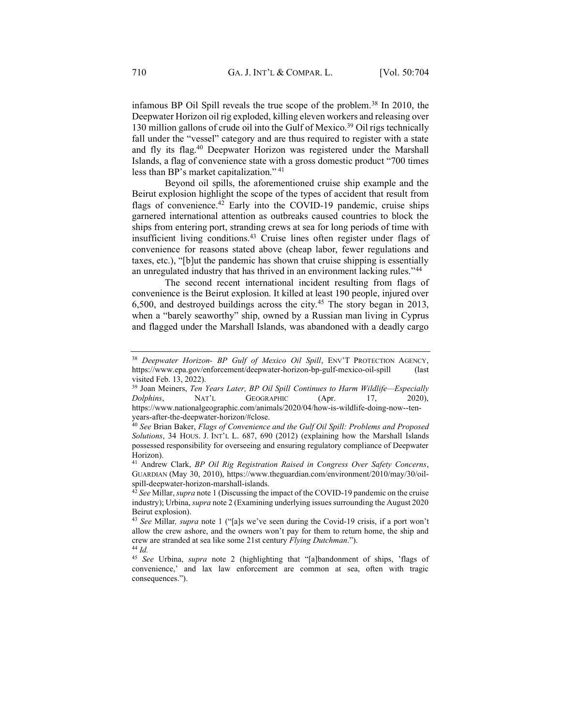infamous BP Oil Spill reveals the true scope of the problem.38 In 2010, the Deepwater Horizon oil rig exploded, killing eleven workers and releasing over 130 million gallons of crude oil into the Gulf of Mexico.<sup>39</sup> Oil rigs technically fall under the "vessel" category and are thus required to register with a state and fly its flag.40 Deepwater Horizon was registered under the Marshall Islands, a flag of convenience state with a gross domestic product "700 times less than BP's market capitalization."  $41$ 

Beyond oil spills, the aforementioned cruise ship example and the Beirut explosion highlight the scope of the types of accident that result from flags of convenience.<sup>42</sup> Early into the COVID-19 pandemic, cruise ships garnered international attention as outbreaks caused countries to block the ships from entering port, stranding crews at sea for long periods of time with insufficient living conditions.43 Cruise lines often register under flags of convenience for reasons stated above (cheap labor, fewer regulations and taxes, etc.), "[b]ut the pandemic has shown that cruise shipping is essentially an unregulated industry that has thrived in an environment lacking rules.<sup>744</sup>

The second recent international incident resulting from flags of convenience is the Beirut explosion. It killed at least 190 people, injured over 6,500, and destroyed buildings across the city.<sup>45</sup> The story began in 2013, when a "barely seaworthy" ship, owned by a Russian man living in Cyprus and flagged under the Marshall Islands, was abandoned with a deadly cargo

<sup>&</sup>lt;sup>38</sup> Deepwater Horizon- BP Gulf of Mexico Oil Spill, ENV'T PROTECTION AGENCY, https://www.epa.gov/enforcement/deepwater-horizon-bp-gulf-mexico-oil-spill (last visited Feb. 13, 2022).

<sup>&</sup>lt;sup>39</sup> Joan Meiners, *Ten Years Later, BP Oil Spill Continues to Harm Wildlife–Especially Dolphins*, NAT'L GEOGRAPHIC (Apr. 17, 2020), https://www.nationalgeographic.com/animals/2020/04/how-is-wildlife-doing-now--ten-

years-after-the-deepwater-horizon/#close. 40 *See* Brian Baker, *Flags of Convenience and the Gulf Oil Spill: Problems and Proposed Solutions*, 34 HOUS. J. INT'L L. 687, 690 (2012) (explaining how the Marshall Islands possessed responsibility for overseeing and ensuring regulatory compliance of Deepwater Horizon).

<sup>41</sup> Andrew Clark, *BP Oil Rig Registration Raised in Congress Over Safety Concerns*, GUARDIAN (May 30, 2010), https://www.theguardian.com/environment/2010/may/30/oilspill-deepwater-horizon-marshall-islands.

<sup>42</sup> *See* Millar, *supra* note 1 (Discussing the impact of the COVID-19 pandemic on the cruise industry); Urbina, *supra* note 2 (Examining underlying issues surrounding the August 2020 Beirut explosion).

<sup>&</sup>lt;sup>43</sup> *See* Millar, *supra* note [1](#page-1-1) ("[a]s we've seen during the Covid-19 crisis, if a port won't allow the crew ashore, and the owners won't pay for them to return home, the ship and crew are stranded at sea like some 21st century *Flying Dutchman*.´).

<sup>44</sup> *Id.*

<sup>&</sup>lt;sup>45</sup> See Urbina, *supra* note [2](#page-1-2) (highlighting that "[a]bandonment of ships, 'flags of convenience,' and lax law enforcement are common at sea, often with tragic consequences.").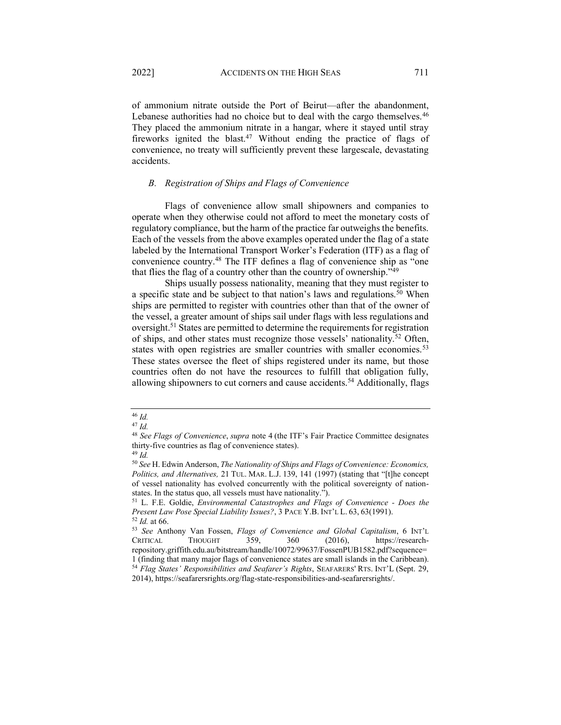of ammonium nitrate outside the Port of Beirut—after the abandonment, Lebanese authorities had no choice but to deal with the cargo themselves.<sup>46</sup> They placed the ammonium nitrate in a hangar, where it stayed until stray fireworks ignited the blast.<sup>47</sup> Without ending the practice of flags of convenience, no treaty will sufficiently prevent these largescale, devastating accidents.

## <span id="page-7-0"></span>*B. Registration of Ships and Flags of Convenience*

Flags of convenience allow small shipowners and companies to operate when they otherwise could not afford to meet the monetary costs of regulatory compliance, but the harm of the practice far outweighs the benefits. Each of the vessels from the above examples operated under the flag of a state labeled by the International Transport Worker's Federation (ITF) as a flag of convenience country.<sup>48</sup> The ITF defines a flag of convenience ship as "one that flies the flag of a country other than the country of ownership.<sup> $749$ </sup>

Ships usually possess nationality, meaning that they must register to a specific state and be subject to that nation's laws and regulations.<sup>50</sup> When ships are permitted to register with countries other than that of the owner of the vessel, a greater amount of ships sail under flags with less regulations and oversight.<sup>51</sup> States are permitted to determine the requirements for registration of ships, and other states must recognize those vessels' nationality.<sup>52</sup> Often, states with open registries are smaller countries with smaller economies.<sup>53</sup> These states oversee the fleet of ships registered under its name, but those countries often do not have the resources to fulfill that obligation fully, allowing shipowners to cut corners and cause accidents.<sup>54</sup> Additionally, flags

<sup>46</sup> *Id.*

<sup>47</sup> *Id.*

<sup>&</sup>lt;sup>48</sup> See Flags of Convenience, *supra* note 4 (the ITF's Fair Practice Committee designates thirty-five countries as flag of convenience states).

<sup>49</sup> *Id.* 

<sup>50</sup> *See* H. Edwin Anderson, *The Nationality of Ships and Flags of Convenience: Economics, Politics, and Alternatives, 21 TUL. MAR. L.J. 139, 141 (1997)* (stating that "[t]he concept of vessel nationality has evolved concurrently with the political sovereignty of nationstates. In the status quo, all vessels must have nationality.").

<sup>51</sup> L. F.E. Goldie, *Environmental Catastrophes and Flags of Convenience - Does the Present Law Pose Special Liability Issues?*, 3 PACE Y.B. INT'L L. 63, 63(1991).

<sup>52</sup> *Id.* at 66.

<sup>53</sup> See Anthony Van Fossen, *Flags of Convenience and Global Capitalism*, 6 INT'L CRITICAL THOUGHT 359, 360 (2016), https://researchrepository.griffith.edu.au/bitstream/handle/10072/99637/FossenPUB1582.pdf?sequence= 1 (finding that many major flags of convenience states are small islands in the Caribbean). <sup>54</sup> Flag States' Responsibilities and Seafarer's Rights, SEAFARERS' RTS. INT'L (Sept. 29, 2014), https://seafarersrights.org/flag-state-responsibilities-and-seafarersrights/.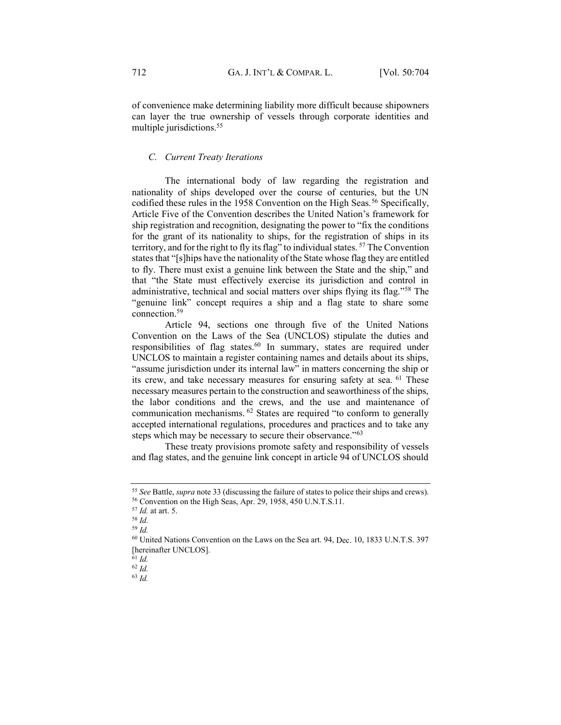of convenience make determining liability more difficult because shipowners can layer the true ownership of vessels through corporate identities and multiple jurisdictions.<sup>55</sup>

# <span id="page-8-0"></span>*C. Current Treaty Iterations*

The international body of law regarding the registration and nationality of ships developed over the course of centuries, but the UN codified these rules in the 1958 Convention on the High Seas.<sup>56</sup> Specifically, Article Five of the Convention describes the United Nation's framework for ship registration and recognition, designating the power to "fix the conditions" for the grant of its nationality to ships, for the registration of ships in its territory, and for the right to fly its flag" to individual states.  $57$  The Convention states that "[s]hips have the nationality of the State whose flag they are entitled to fly. There must exist a genuine link between the State and the ship," and that "the State must effectively exercise its jurisdiction and control in administrative, technical and social matters over ships flying its flag."<sup>58</sup> The "genuine link" concept requires a ship and a flag state to share some connection.59

Article 94, sections one through five of the United Nations Convention on the Laws of the Sea (UNCLOS) stipulate the duties and responsibilities of flag states.<sup>60</sup> In summary, states are required under UNCLOS to maintain a register containing names and details about its ships, "assume jurisdiction under its internal law" in matters concerning the ship or its crew, and take necessary measures for ensuring safety at sea. <sup>61</sup> These necessary measures pertain to the construction and seaworthiness of the ships, the labor conditions and the crews, and the use and maintenance of communication mechanisms.  $62$  States are required "to conform to generally accepted international regulations, procedures and practices and to take any steps which may be necessary to secure their observance.<sup>763</sup>

These treaty provisions promote safety and responsibility of vessels and flag states, and the genuine link concept in article 94 of UNCLOS should

<sup>63</sup> *Id.* 

<sup>55</sup> *See* Battle, *supra* note 33 (discussing the failure of states to police their ships and crews). <sup>56</sup> Convention on the High Seas, Apr. 29, 1958, 450 U.N.T.S.11.

<sup>57</sup> *Id.* at art. 5.

<sup>58</sup> *Id.* 

<sup>59</sup> *Id.* 

<sup>&</sup>lt;sup>60</sup> United Nations Convention on the Laws on the Sea art. 94, Dec. 10, 1833 U.N.T.S. 397 [hereinafter UNCLOS].<br><sup>61</sup> Id.

<sup>61</sup> *Id.* 62 *Id.*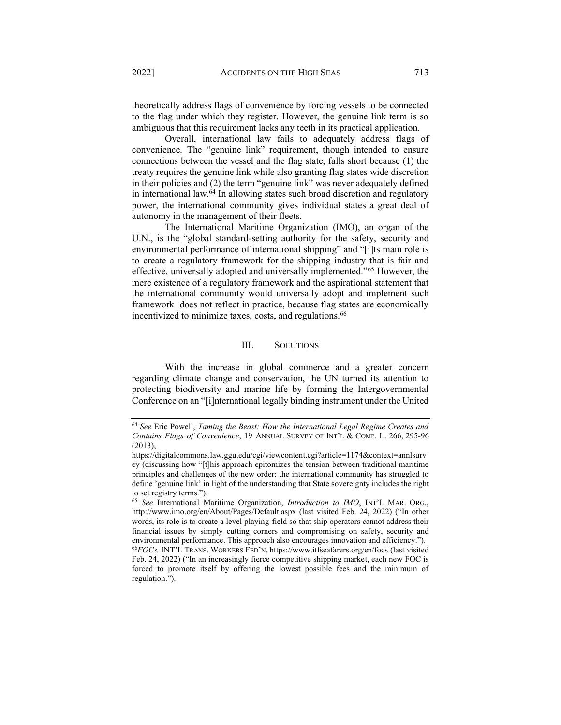theoretically address flags of convenience by forcing vessels to be connected to the flag under which they register. However, the genuine link term is so ambiguous that this requirement lacks any teeth in its practical application.

Overall, international law fails to adequately address flags of convenience. The "genuine link" requirement, though intended to ensure connections between the vessel and the flag state, falls short because (1) the treaty requires the genuine link while also granting flag states wide discretion in their policies and  $(2)$  the term "genuine link" was never adequately defined in international law.<sup>64</sup> In allowing states such broad discretion and regulatory power, the international community gives individual states a great deal of autonomy in the management of their fleets.

The International Maritime Organization (IMO), an organ of the U.N., is the "global standard-setting authority for the safety, security and environmental performance of international shipping" and "[i]ts main role is to create a regulatory framework for the shipping industry that is fair and effective, universally adopted and universally implemented.<sup>"65</sup> However, the mere existence of a regulatory framework and the aspirational statement that the international community would universally adopt and implement such framework does not reflect in practice, because flag states are economically incentivized to minimize taxes, costs, and regulations.<sup>66</sup>

# III. SOLUTIONS

<span id="page-9-0"></span>With the increase in global commerce and a greater concern regarding climate change and conservation, the UN turned its attention to protecting biodiversity and marine life by forming the Intergovernmental Conference on an "[i]nternational legally binding instrument under the United

regulation.").

<sup>64</sup> *See* Eric Powell, *Taming the Beast: How the International Legal Regime Creates and Contains Flags of Convenience*, 19 ANNUAL SURVEY OF INT'L & COMP. L. 266, 295-96 (2013),

https://digitalcommons.law.ggu.edu/cgi/viewcontent.cgi?article=1174&context=annlsurv ey (discussing how "[t]his approach epitomizes the tension between traditional maritime principles and challenges of the new order: the international community has struggled to define 'genuine link' in light of the understanding that State sovereignty includes the right to set registry terms.").

<sup>&</sup>lt;sup>65</sup> See International Maritime Organization, *Introduction to IMO*, INT'L MAR. ORG., http://www.imo.org/en/About/Pages/Default.aspx (last visited Feb. 24, 2022) ("In other words, its role is to create a level playing-field so that ship operators cannot address their financial issues by simply cutting corners and compromising on safety, security and environmental performance. This approach also encourages innovation and efficiency.<sup>\*</sup>'). <sup>66</sup>FOCs, INT'L TRANS. WORKERS FED'N, https://www.itfseafarers.org/en/focs (last visited Feb. 24, 2022) ("In an increasingly fierce competitive shipping market, each new FOC is forced to promote itself by offering the lowest possible fees and the minimum of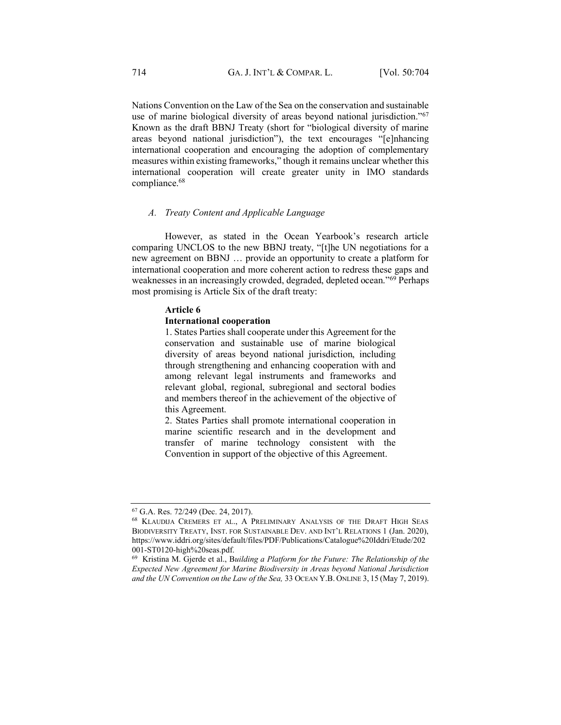<span id="page-10-1"></span>Nations Convention on the Law of the Sea on the conservation and sustainable use of marine biological diversity of areas beyond national jurisdiction.<sup> $567$ </sup> Known as the draft BBNJ Treaty (short for "biological diversity of marine areas beyond national jurisdiction"), the text encourages "[e]nhancing international cooperation and encouraging the adoption of complementary measures within existing frameworks," though it remains unclear whether this international cooperation will create greater unity in IMO standards compliance.68

#### <span id="page-10-0"></span>*A. Treaty Content and Applicable Language*

However, as stated in the Ocean Yearbook's research article comparing UNCLOS to the new BBNJ treaty, "[t]he UN negotiations for a new agreement on BBNJ ... provide an opportunity to create a platform for international cooperation and more coherent action to redress these gaps and weaknesses in an increasingly crowded, degraded, depleted ocean.<sup>"69</sup> Perhaps most promising is Article Six of the draft treaty:

#### **Article 6**

### **International cooperation**

1. States Parties shall cooperate under this Agreement for the conservation and sustainable use of marine biological diversity of areas beyond national jurisdiction, including through strengthening and enhancing cooperation with and among relevant legal instruments and frameworks and relevant global, regional, subregional and sectoral bodies and members thereof in the achievement of the objective of this Agreement.

2. States Parties shall promote international cooperation in marine scientific research and in the development and transfer of marine technology consistent with the Convention in support of the objective of this Agreement.

<sup>67</sup> G.A. Res. 72/249 (Dec. 24, 2017).

<sup>68</sup> KLAUDIJA CREMERS ET AL., A PRELIMINARY ANALYSIS OF THE DRAFT HIGH SEAS BIODIVERSITY TREATY, INST. FOR SUSTAINABLE DEV. AND INT'L RELATIONS 1 (Jan. 2020), https://www.iddri.org/sites/default/files/PDF/Publications/Catalogue%20Iddri/Etude/202 001-ST0120-high%20seas.pdf.

<sup>69</sup> Kristina M. Gjerde et al., B*uilding a Platform for the Future: The Relationship of the Expected New Agreement for Marine Biodiversity in Areas beyond National Jurisdiction and the UN Convention on the Law of the Sea,* 33 OCEAN Y.B. ONLINE 3, 15 (May 7, 2019).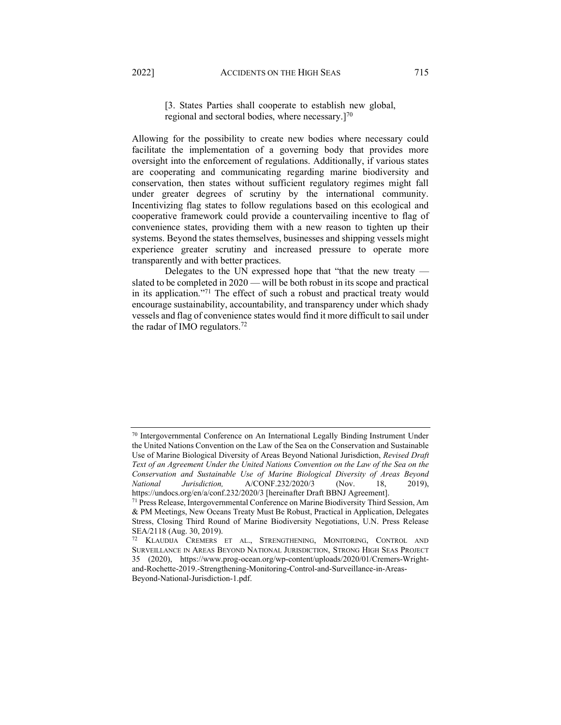regional and sectoral bodies, where necessary. $]^{70}$ 

Allowing for the possibility to create new bodies where necessary could facilitate the implementation of a governing body that provides more oversight into the enforcement of regulations. Additionally, if various states are cooperating and communicating regarding marine biodiversity and conservation, then states without sufficient regulatory regimes might fall under greater degrees of scrutiny by the international community. Incentivizing flag states to follow regulations based on this ecological and cooperative framework could provide a countervailing incentive to flag of convenience states, providing them with a new reason to tighten up their systems. Beyond the states themselves, businesses and shipping vessels might experience greater scrutiny and increased pressure to operate more transparently and with better practices.

Delegates to the UN expressed hope that "that the new treaty  $$ slated to be completed in  $2020 -$  will be both robust in its scope and practical in its application.<sup>"71</sup> The effect of such a robust and practical treaty would encourage sustainability, accountability, and transparency under which shady vessels and flag of convenience states would find it more difficult to sail under the radar of IMO regulators.72

<sup>70</sup> Intergovernmental Conference on An International Legally Binding Instrument Under the United Nations Convention on the Law of the Sea on the Conservation and Sustainable Use of Marine Biological Diversity of Areas Beyond National Jurisdiction, *Revised Draft Text of an Agreement Under the United Nations Convention on the Law of the Sea on the Conservation and Sustainable Use of Marine Biological Diversity of Areas Beyond National Jurisdiction,* A/CONF.232/2020/3 (Nov. 18, 2019), https://undocs.org/en/a/conf.232/2020/3 [hereinafter Draft BBNJ Agreement].

<sup>71</sup> Press Release, Intergovernmental Conference on Marine Biodiversity Third Session, Am & PM Meetings, New Oceans Treaty Must Be Robust, Practical in Application, Delegates Stress, Closing Third Round of Marine Biodiversity Negotiations, U.N. Press Release SEA/2118 (Aug. 30, 2019).

<sup>72</sup> KLAUDIJA CREMERS ET AL., STRENGTHENING, MONITORING, CONTROL AND SURVEILLANCE IN AREAS BEYOND NATIONAL JURISDICTION, STRONG HIGH SEAS PROJECT 35 (2020), https://www.prog-ocean.org/wp-content/uploads/2020/01/Cremers-Wrightand-Rochette-2019.-Strengthening-Monitoring-Control-and-Surveillance-in-Areas-Beyond-National-Jurisdiction-1.pdf.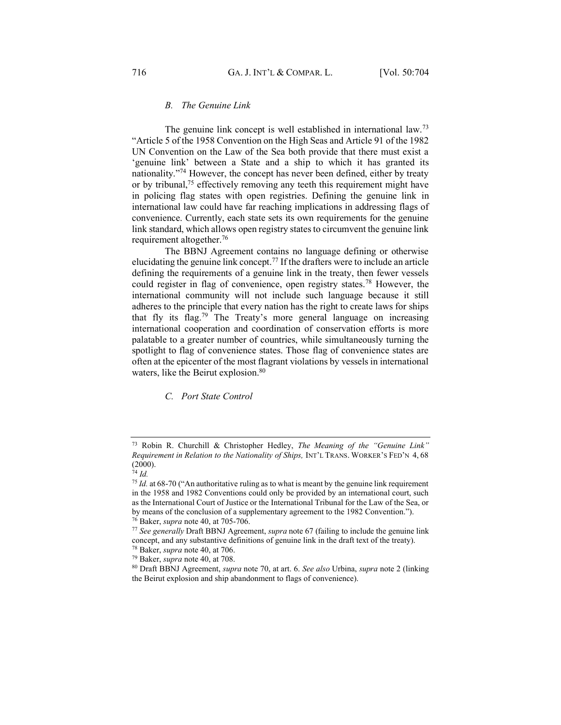# *B. The Genuine Link*

<span id="page-12-0"></span>The genuine link concept is well established in international law.73 ³Article 5 of the 1958 Convention on the High Seas and Article 91 of the 1982 UN Convention on the Law of the Sea both provide that there must exist a 'genuine link' between a State and a ship to which it has granted its nationality. $\frac{774}{4}$  However, the concept has never been defined, either by treaty or by tribunal,75 effectively removing any teeth this requirement might have in policing flag states with open registries. Defining the genuine link in international law could have far reaching implications in addressing flags of convenience. Currently, each state sets its own requirements for the genuine link standard, which allows open registry states to circumvent the genuine link requirement altogether.76

The BBNJ Agreement contains no language defining or otherwise elucidating the genuine link concept.77 If the drafters were to include an article defining the requirements of a genuine link in the treaty, then fewer vessels could register in flag of convenience, open registry states.78 However, the international community will not include such language because it still adheres to the principle that every nation has the right to create laws for ships that fly its flag.<sup>79</sup> The Treaty's more general language on increasing international cooperation and coordination of conservation efforts is more palatable to a greater number of countries, while simultaneously turning the spotlight to flag of convenience states. Those flag of convenience states are often at the epicenter of the most flagrant violations by vessels in international waters, like the Beirut explosion. 80

<span id="page-12-1"></span>*C. Port State Control*

<sup>&</sup>lt;sup>73</sup> Robin R. Churchill & Christopher Hedley, *The Meaning of the "Genuine Link" Requirement in Relation to the Nationality of Ships, INT'L TRANS. WORKER'S FED'N 4,68* (2000).

<sup>74</sup> *Id.*

 $75$  *Id.* at 68-70 ("An authoritative ruling as to what is meant by the genuine link requirement in the 1958 and 1982 Conventions could only be provided by an international court, such as the International Court of Justice or the International Tribunal for the Law of the Sea, or by means of the conclusion of a supplementary agreement to the 1982 Convention.<sup>"</sup>).

<sup>76</sup> Baker, *supra* note 40, at 705-706.

<sup>77</sup> *See generally* Draft BBNJ Agreement, *supra* not[e 67](#page-10-1) (failing to include the genuine link concept, and any substantive definitions of genuine link in the draft text of the treaty).

<sup>78</sup> Baker, *supra* note 40, at 706.

<sup>79</sup> Baker, *supra* note 40, at 708.

<sup>80</sup> Draft BBNJ Agreement, *supra* note 70, at art. 6. *See also* Urbina, *supra* not[e 2](#page-1-2) (linking the Beirut explosion and ship abandonment to flags of convenience).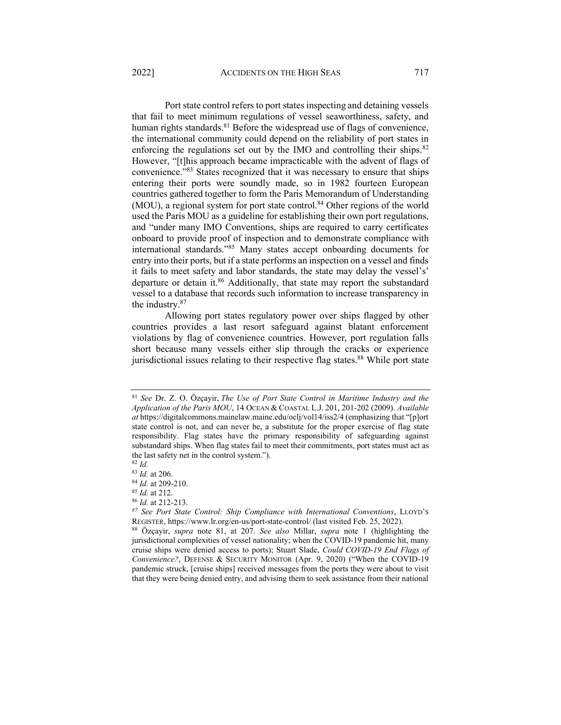<span id="page-13-0"></span>Port state control refers to port states inspecting and detaining vessels that fail to meet minimum regulations of vessel seaworthiness, safety, and human rights standards.<sup>81</sup> Before the widespread use of flags of convenience, the international community could depend on the reliability of port states in enforcing the regulations set out by the IMO and controlling their ships. $82$ However, "[t]his approach became impracticable with the advent of flags of convenience.<sup>783</sup> States recognized that it was necessary to ensure that ships entering their ports were soundly made, so in 1982 fourteen European countries gathered together to form the Paris Memorandum of Understanding  $(MOU)$ , a regional system for port state control.<sup>84</sup> Other regions of the world used the Paris MOU as a guideline for establishing their own port regulations, and "under many IMO Conventions, ships are required to carry certificates onboard to provide proof of inspection and to demonstrate compliance with international standards.<sup>85</sup> Many states accept onboarding documents for entry into their ports, but if a state performs an inspection on a vessel and finds it fails to meet safety and labor standards, the state may delay the vessel's' departure or detain it.86 Additionally, that state may report the substandard vessel to a database that records such information to increase transparency in the industry.87

Allowing port states regulatory power over ships flagged by other countries provides a last resort safeguard against blatant enforcement violations by flag of convenience countries. However, port regulation falls short because many vessels either slip through the cracks or experience jurisdictional issues relating to their respective flag states.<sup>88</sup> While port state

<sup>85</sup> *Id.* at 212. 86 *Id.* at 212-213.

<sup>81</sup> *See* Dr. Z. O. Özçayir, *The Use of Port State Control in Maritime Industry and the Application of the Paris MOU*, 14 OCEAN & COASTAL L.J. 201, 201-202 (2009). *Available*  at https://digitalcommons.mainelaw.maine.edu/oclj/vol14/iss2/4 (emphasizing that "[p]ort state control is not, and can never be, a substitute for the proper exercise of flag state responsibility. Flag states have the primary responsibility of safeguarding against substandard ships. When flag states fail to meet their commitments, port states must act as the last safety net in the control system.").

<sup>82</sup> *Id.*

<sup>83</sup> *Id.* at 206.

<sup>&</sup>lt;sup>84</sup> *Id.* at 209-210.<br><sup>85</sup> *Id.* at 212.

<sup>&</sup>lt;sup>87</sup> See Port State Control: Ship Compliance with International Conventions, LLOYD'S REGISTER, https://www.lr.org/en-us/port-state-control/ (last visited Feb. 25, 2022). 88 Özçayir, *supra* note [81,](#page-13-0) at 207. *See also* Millar, *supra* note [1](#page-1-1) (highlighting the

jurisdictional complexities of vessel nationality; when the COVID-19 pandemic hit, many cruise ships were denied access to ports); Stuart Slade, *Could COVID-19 End Flags of Convenience?*, DEFENSE & SECURITY MONITOR (Apr. 9, 2020) ("When the COVID-19 pandemic struck, [cruise ships] received messages from the ports they were about to visit that they were being denied entry, and advising them to seek assistance from their national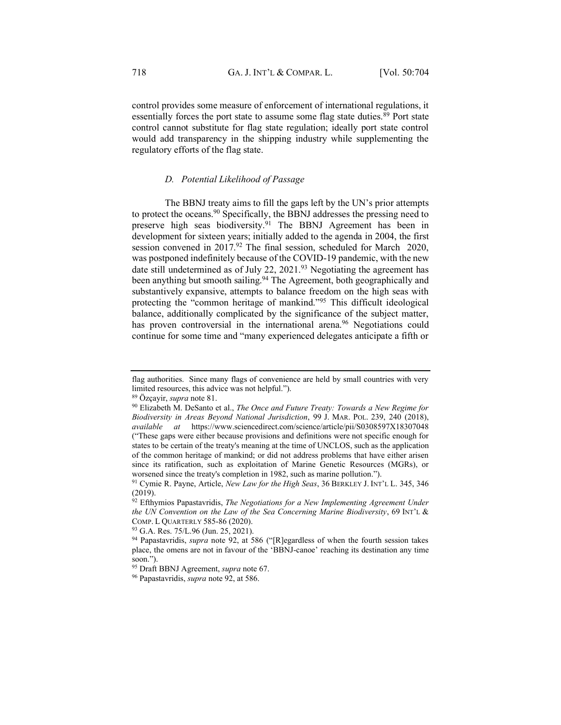control provides some measure of enforcement of international regulations, it essentially forces the port state to assume some flag state duties.<sup>89</sup> Port state control cannot substitute for flag state regulation; ideally port state control would add transparency in the shipping industry while supplementing the regulatory efforts of the flag state.

## *D. Potential Likelihood of Passage*

<span id="page-14-0"></span>The BBNJ treaty aims to fill the gaps left by the UN's prior attempts to protect the oceans.90 Specifically, the BBNJ addresses the pressing need to preserve high seas biodiversity.91 The BBNJ Agreement has been in development for sixteen years; initially added to the agenda in 2004, the first session convened in  $2017<sup>92</sup>$  The final session, scheduled for March 2020, was postponed indefinitely because of the COVID-19 pandemic, with the new date still undetermined as of July 22, 2021.<sup>93</sup> Negotiating the agreement has been anything but smooth sailing.<sup>94</sup> The Agreement, both geographically and substantively expansive, attempts to balance freedom on the high seas with protecting the "common heritage of mankind."<sup>95</sup> This difficult ideological balance, additionally complicated by the significance of the subject matter, has proven controversial in the international arena.<sup>96</sup> Negotiations could continue for some time and "many experienced delegates anticipate a fifth or

flag authorities. Since many flags of convenience are held by small countries with very limited resources, this advice was not helpful.´).

<sup>89</sup> Özçayir, *supra* note 81.

<sup>90</sup> Elizabeth M. DeSanto et al., *The Once and Future Treaty: Towards a New Regime for Biodiversity in Areas Beyond National Jurisdiction*, 99 J. MAR. POL. 239, 240 (2018), *available at* <https://www.sciencedirect.com/science/article/pii/S0308597X18307048> (³These gaps were either because provisions and definitions were not specific enough for states to be certain of the treaty's meaning at the time of UNCLOS, such as the application of the common heritage of mankind; or did not address problems that have either arisen since its ratification, such as exploitation of Marine Genetic Resources (MGRs), or worsened since the treaty's completion in 1982, such as marine pollution.").

<sup>&</sup>lt;sup>91</sup> Cymie R. Payne, Article, *New Law for the High Seas*, 36 BERKLEY J. INT'L L. 345, 346 (2019).

<sup>92</sup> Efthymios Papastavridis, *The Negotiations for a New Implementing Agreement Under the UN Convention on the Law of the Sea Concerning Marine Biodiversity*, 69 INT'L & COMP. L QUARTERLY 585-86 (2020).

<sup>&</sup>lt;sup>93</sup> G.A. Res. 75/L.96 (Jun. 25, 2021). <sup>94</sup> Papastavridis, *supra* note 92, at 586 ("[R]egardless of when the fourth session takes place, the omens are not in favour of the 'BBNJ-canoe' reaching its destination any time soon.").

<sup>95</sup> Draft BBNJ Agreement, *supra* not[e 67.](#page-10-1)

<sup>96</sup> Papastavridis, *supra* note 92, at 586.